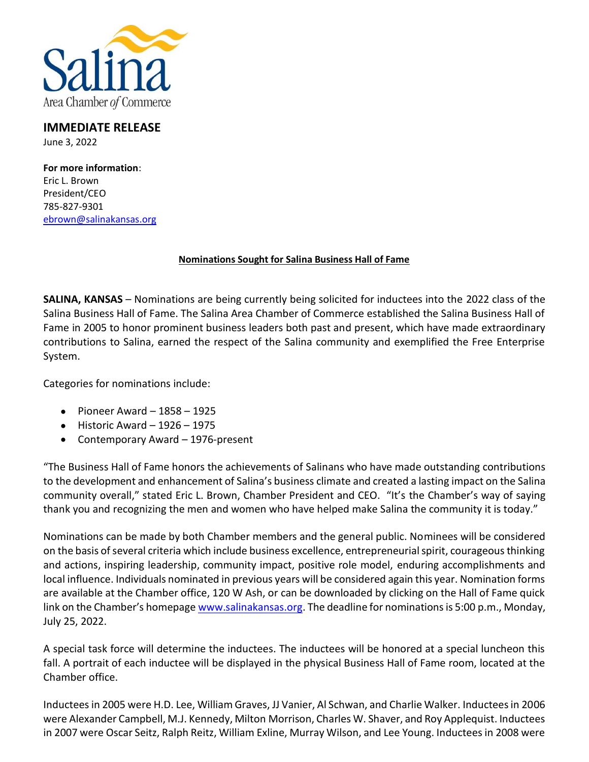

## **IMMEDIATE RELEASE** June 3, 2022

**For more information**: Eric L. Brown President/CEO 785-827-9301 [ebrown@salinakansas.org](mailto:ebrown@salinakansas.org)

## **Nominations Sought for Salina Business Hall of Fame**

**SALINA, KANSAS** – Nominations are being currently being solicited for inductees into the 2022 class of the Salina Business Hall of Fame. The Salina Area Chamber of Commerce established the Salina Business Hall of Fame in 2005 to honor prominent business leaders both past and present, which have made extraordinary contributions to Salina, earned the respect of the Salina community and exemplified the Free Enterprise System.

Categories for nominations include:

- $\bullet$  Pioneer Award 1858 1925
- $\bullet$  Historic Award 1926 1975
- Contemporary Award 1976-present

"The Business Hall of Fame honors the achievements of Salinans who have made outstanding contributions to the development and enhancement of Salina's business climate and created a lasting impact on the Salina community overall," stated Eric L. Brown, Chamber President and CEO. "It's the Chamber's way of saying thank you and recognizing the men and women who have helped make Salina the community it is today."

Nominations can be made by both Chamber members and the general public. Nominees will be considered on the basis of several criteria which include business excellence, entrepreneurial spirit, courageous thinking and actions, inspiring leadership, community impact, positive role model, enduring accomplishments and local influence. Individuals nominated in previous years will be considered again this year. Nomination forms are available at the Chamber office, 120 W Ash, or can be downloaded by clicking on the Hall of Fame quick link on the Chamber's homepage [www.salinakansas.org.](http://www.salinakansas.org/) The deadline for nominations is 5:00 p.m., Monday, July 25, 2022.

A special task force will determine the inductees. The inductees will be honored at a special luncheon this fall. A portrait of each inductee will be displayed in the physical Business Hall of Fame room, located at the Chamber office.

Inductees in 2005 were H.D. Lee, William Graves, JJ Vanier, Al Schwan, and Charlie Walker. Inductees in 2006 were Alexander Campbell, M.J. Kennedy, Milton Morrison, Charles W. Shaver, and Roy Applequist. Inductees in 2007 were Oscar Seitz, Ralph Reitz, William Exline, Murray Wilson, and Lee Young. Inductees in 2008 were